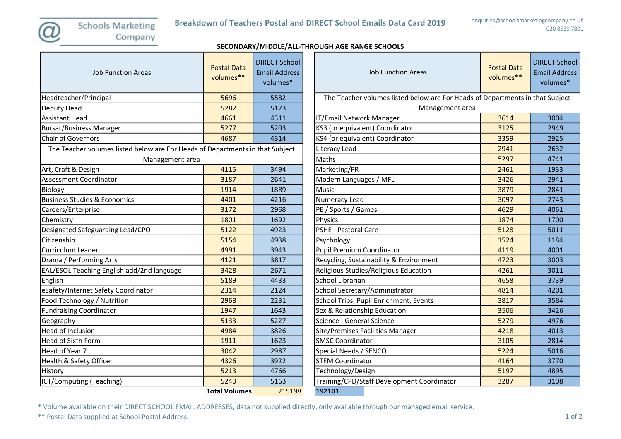SECONDARY/MIDDLE/ALL-THROUGH AGE RANGE SCHOOLS

| <b>Job Function Areas</b>                                                     | <b>Postal Data</b><br>volumes** | <b>DIRECT School</b><br><b>Email Address</b><br>volumes* | <b>Job Function Areas</b>                                                   | <b>Postal Data</b><br>volumes** | <b>DIRECT Sc</b><br><b>Email Add</b><br>volume: |
|-------------------------------------------------------------------------------|---------------------------------|----------------------------------------------------------|-----------------------------------------------------------------------------|---------------------------------|-------------------------------------------------|
| Headteacher/Principal                                                         | 5696                            | 5582                                                     | The Teacher volumes listed below are For Heads of Departments in that Subje |                                 |                                                 |
| Deputy Head                                                                   | 5282                            | 5173                                                     | Management area                                                             |                                 |                                                 |
| Assistant Head                                                                | 4661                            | 4311                                                     | IT/Email Network Manager                                                    | 3614                            | 3004                                            |
| Bursar/Business Manager                                                       | 5277                            | 5203                                                     | KS3 (or equivalent) Coordinator                                             | 3125                            | 2949                                            |
| <b>Chair of Governors</b>                                                     | 4687                            | 4314                                                     | KS4 (or equivalent) Coordinator                                             | 3359                            | 2925                                            |
| The Teacher volumes listed below are For Heads of Departments in that Subject |                                 |                                                          | Literacy Lead                                                               | 2941                            | 2632                                            |
| Management area                                                               |                                 |                                                          | Maths                                                                       | 5297                            | 4741                                            |
| Art, Craft & Design                                                           | 4115                            | 3494                                                     | Marketing/PR                                                                | 2461                            | 1933                                            |
| Assessment Coordinator                                                        | 3187                            | 2641                                                     | Modern Languages / MFL                                                      | 3426                            | 2941                                            |
| Biology                                                                       | 1914                            | 1889                                                     | <b>Music</b>                                                                | 3879                            | 2841                                            |
| <b>Business Studies &amp; Economics</b>                                       | 4401                            | 4216                                                     | Numeracy Lead                                                               | 3097                            | 2743                                            |
| Careers/Enterprise                                                            | 3172                            | 2968                                                     | PE / Sports / Games                                                         | 4629                            | 4061                                            |
| Chemistry                                                                     | 1801                            | 1692                                                     | Physics                                                                     | 1874                            | 1700                                            |
| Designated Safeguarding Lead/CPO                                              | 5122                            | 4923                                                     | PSHE - Pastoral Care                                                        | 5128                            | 5011                                            |
| Citizenship                                                                   | 5154                            | 4938                                                     | Psychology                                                                  | 1524                            | 1184                                            |
| Curriculum Leader                                                             | 4991                            | 3943                                                     | <b>Pupil Premium Coordinator</b>                                            | 4119                            | 4001                                            |
| Drama / Performing Arts                                                       | 4121                            | 3817                                                     | Recycling, Sustainability & Environment                                     | 4723                            | 3003                                            |
| EAL/ESOL Teaching English add/2nd language                                    | 3428                            | 2671                                                     | Religious Studies/Religious Education                                       | 4261                            | 3011                                            |
| <b>English</b>                                                                | 5189                            | 4433                                                     | School Librarian                                                            | 4658                            | 3739                                            |
| eSafety/Internet Safety Coordinator                                           | 2314                            | 2124                                                     | School Secretary/Administrator                                              | 4814                            | 4201                                            |
| Food Technology / Nutrition                                                   | 2968                            | 2231                                                     | School Trips, Pupil Enrichment, Events                                      | 3817                            | 3584                                            |
| <b>Fundraising Coordinator</b>                                                | 1947                            | 1643                                                     | Sex & Relationship Education                                                | 3506                            | 3426                                            |
| Geography                                                                     | 5133                            | 5227                                                     | Science - General Science                                                   | 5279                            | 4976                                            |
| Head of Inclusion                                                             | 4984                            | 3826                                                     | Site/Premises Facilities Manager                                            | 4218                            | 4013                                            |
| <b>Head of Sixth Form</b>                                                     | 1911                            | 1623                                                     | <b>SMSC Coordinator</b>                                                     | 3105                            | 2814                                            |
| Head of Year 7                                                                | 3042                            | 2987                                                     | Special Needs / SENCO                                                       | 5224                            | 5016                                            |
| Health & Safety Officer                                                       | 4326                            | 3922                                                     | <b>STEM Coordinator</b>                                                     | 4164                            | 3770                                            |
| History                                                                       | 5213                            | 4766                                                     | Technology/Design                                                           | 5197                            | 4895                                            |
| ICT/Computing (Teaching)                                                      | 5240                            | 5163                                                     | Training/CPD/Staff Development Coordinator                                  | 3287                            | 3108                                            |
|                                                                               | <b>Total Volumes</b>            | 215198                                                   | 192101                                                                      |                                 |                                                 |

| <b>Job Function Areas</b>                                                     | <b>Postal Data</b><br>volumes** | <b>DIRECT School</b><br><b>Email Address</b><br>volumes* |  |  |  |
|-------------------------------------------------------------------------------|---------------------------------|----------------------------------------------------------|--|--|--|
| The Teacher volumes listed below are For Heads of Departments in that Subject |                                 |                                                          |  |  |  |
| Management area                                                               |                                 |                                                          |  |  |  |
| IT/Email Network Manager                                                      | 3614                            | 3004                                                     |  |  |  |
| KS3 (or equivalent) Coordinator                                               | 3125                            | 2949                                                     |  |  |  |
| KS4 (or equivalent) Coordinator                                               | 3359                            | 2925                                                     |  |  |  |
| Literacy Lead                                                                 | 2941                            | 2632                                                     |  |  |  |
| Maths                                                                         | 5297                            | 4741                                                     |  |  |  |
| Marketing/PR                                                                  | 2461                            | 1933                                                     |  |  |  |
| Modern Languages / MFL                                                        | 3426                            | 2941                                                     |  |  |  |
| Music                                                                         | 3879                            | 2841                                                     |  |  |  |
| Numeracy Lead                                                                 | 3097                            | 2743                                                     |  |  |  |
| PE / Sports / Games                                                           | 4629                            | 4061                                                     |  |  |  |
| Physics                                                                       | 1874                            | 1700                                                     |  |  |  |
| PSHE - Pastoral Care                                                          | 5128                            | 5011                                                     |  |  |  |
| Psychology                                                                    | 1524                            | 1184                                                     |  |  |  |
| <b>Pupil Premium Coordinator</b>                                              | 4119                            | 4001                                                     |  |  |  |
| Recycling, Sustainability & Environment                                       | 4723                            | 3003                                                     |  |  |  |
| Religious Studies/Religious Education                                         | 4261                            | 3011                                                     |  |  |  |
| <b>School Librarian</b>                                                       | 4658                            | 3739                                                     |  |  |  |
| School Secretary/Administrator                                                | 4814                            | 4201                                                     |  |  |  |
| School Trips, Pupil Enrichment, Events                                        | 3817                            | 3584                                                     |  |  |  |
| Sex & Relationship Education                                                  | 3506                            | 3426                                                     |  |  |  |
| Science - General Science                                                     | 5279                            | 4976                                                     |  |  |  |
| Site/Premises Facilities Manager                                              | 4218                            | 4013                                                     |  |  |  |
| <b>SMSC Coordinator</b>                                                       | 3105                            | 2814                                                     |  |  |  |
| Special Needs / SENCO                                                         | 5224                            | 5016                                                     |  |  |  |
| <b>STEM Coordinator</b>                                                       | 4164                            | 3770                                                     |  |  |  |
| Technology/Design                                                             | 5197                            | 4895                                                     |  |  |  |
| Training/CPD/Staff Development Coordinator                                    | 3287                            | 3108                                                     |  |  |  |
| 192101                                                                        |                                 |                                                          |  |  |  |

\* Volume available on their DIRECT SCHOOL EMAIL ADDRESSES, data not supplied directly, only available through our managed email service.

\*\* Postal Data supplied at School Postal Address 1 of 2